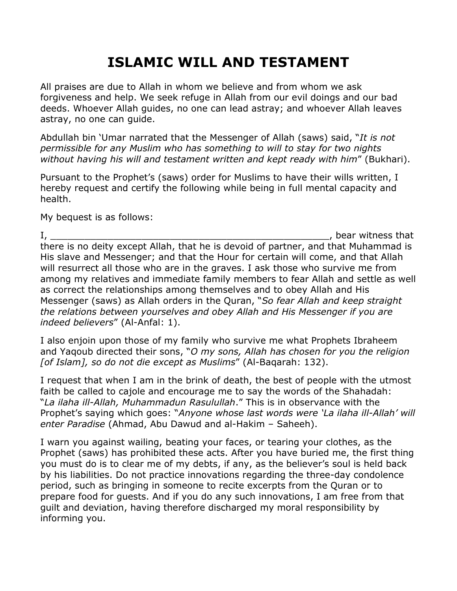## ISLAMIC WILL AND TESTAMENT

All praises are due to Allah in whom we believe and from whom we ask forgiveness and help. We seek refuge in Allah from our evil doings and our bad deeds. Whoever Allah guides, no one can lead astray; and whoever Allah leaves astray, no one can guide.

Abdullah bin 'Umar narrated that the Messenger of Allah (saws) said, "It is not permissible for any Muslim who has something to will to stay for two nights without having his will and testament written and kept ready with him" (Bukhari).

Pursuant to the Prophet's (saws) order for Muslims to have their wills written, I hereby request and certify the following while being in full mental capacity and health.

My bequest is as follows:

I, the contraction of the contraction of the contraction of the contraction of the contraction of the contraction of the contraction of the contraction of the contraction of the contraction of the contraction of the contra there is no deity except Allah, that he is devoid of partner, and that Muhammad is His slave and Messenger; and that the Hour for certain will come, and that Allah will resurrect all those who are in the graves. I ask those who survive me from among my relatives and immediate family members to fear Allah and settle as well as correct the relationships among themselves and to obey Allah and His Messenger (saws) as Allah orders in the Quran, "So fear Allah and keep straight the relations between yourselves and obey Allah and His Messenger if you are indeed believers" (Al-Anfal: 1).

I also enjoin upon those of my family who survive me what Prophets Ibraheem and Yaqoub directed their sons, "O my sons, Allah has chosen for you the religion [of Islam], so do not die except as Muslims" (Al-Baqarah: 132).

I request that when I am in the brink of death, the best of people with the utmost faith be called to cajole and encourage me to say the words of the Shahadah: "La ilaha ill-Allah, Muhammadun Rasulullah." This is in observance with the Prophet's saying which goes: "Anyone whose last words were 'La ilaha ill-Allah' will enter Paradise (Ahmad, Abu Dawud and al-Hakim – Saheeh).

I warn you against wailing, beating your faces, or tearing your clothes, as the Prophet (saws) has prohibited these acts. After you have buried me, the first thing you must do is to clear me of my debts, if any, as the believer's soul is held back by his liabilities. Do not practice innovations regarding the three-day condolence period, such as bringing in someone to recite excerpts from the Quran or to prepare food for guests. And if you do any such innovations, I am free from that guilt and deviation, having therefore discharged my moral responsibility by informing you.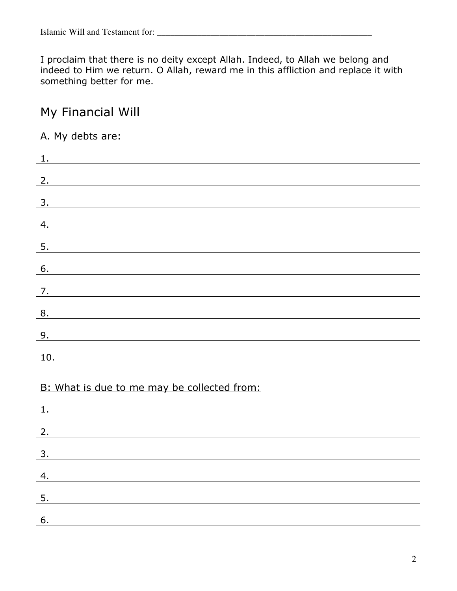I proclaim that there is no deity except Allah. Indeed, to Allah we belong and indeed to Him we return. O Allah, reward me in this affliction and replace it with something better for me.

## My Financial Will

## A. My debts are:

| 1.                                               |
|--------------------------------------------------|
| 2.                                               |
| 3.                                               |
|                                                  |
| 4.<br><u> 1980 - Johann John Stein, markin f</u> |
| 5.                                               |
| 6.                                               |
| 7.                                               |
| 8.                                               |
| 9.                                               |
| 10.                                              |
|                                                  |
| B: What is due to me may be collected from:      |
| 1.                                               |
| 2.                                               |
| 3.                                               |
|                                                  |

| ້ |  |  |  |
|---|--|--|--|
|   |  |  |  |
|   |  |  |  |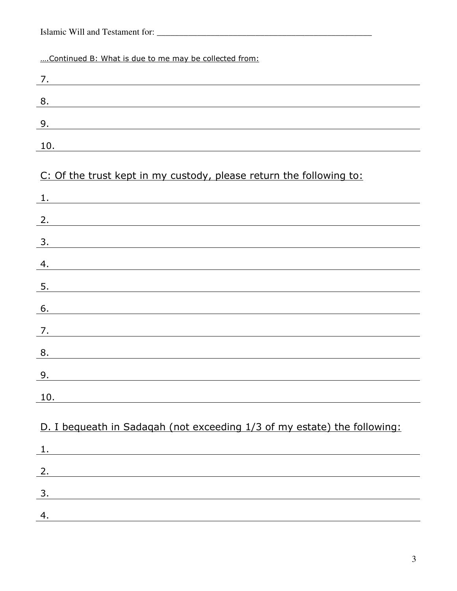|  | Islamic Will and Testament for: |  |
|--|---------------------------------|--|
|--|---------------------------------|--|

| Continued B: What is due to me may be collected from:                                                                        |
|------------------------------------------------------------------------------------------------------------------------------|
| 7.<br><u> 1989 - Johann Stein, fransk politik (f. 1989)</u>                                                                  |
| 8.<br>and the control of the control of the control of the control of the control of the control of the control of the       |
| 9.<br><u> 1980 - Johann Barn, mars ann an t-Amhain Aonaich an t-Aonaich an t-Aonaich ann an t-Aonaich ann an t-Aonaich</u>   |
| 10.<br>and the control of the control of the control of the control of the control of the control of the control of the      |
| C: Of the trust kept in my custody, please return the following to:<br>1.                                                    |
| and the control of the control of the control of the control of the control of the control of the control of the             |
| 2.<br><u> 1989 - Johann Stoff, deutscher Stoffen und der Stoffen und der Stoffen und der Stoffen und der Stoffen und d</u>   |
| 3.                                                                                                                           |
| 4.<br><u> 1980 - Johann Stoff, amerikansk politiker (d. 1980)</u>                                                            |
| 5.                                                                                                                           |
| 6.                                                                                                                           |
| 7.<br><u> 1989 - Johann Stoff, Amerikaansk politiker († 1908)</u>                                                            |
| 8.                                                                                                                           |
| 9.                                                                                                                           |
| 10.                                                                                                                          |
| D. I bequeath in Sadaqah (not exceeding 1/3 of my estate) the following:                                                     |
| 1.<br><u> 1980 - Johann Barn, mars ann an t-Amhain Aonaich an t-Aonaich an t-Aonaich ann an t-Aonaich ann an t-Aonaich</u>   |
| 2.<br><u> 1989 - Johann Barn, mars ann an t-Amhain ann an t-Amhain an t-Amhain an t-Amhain an t-Amhain an t-Amhain an t-</u> |
| 3.                                                                                                                           |
| 4.                                                                                                                           |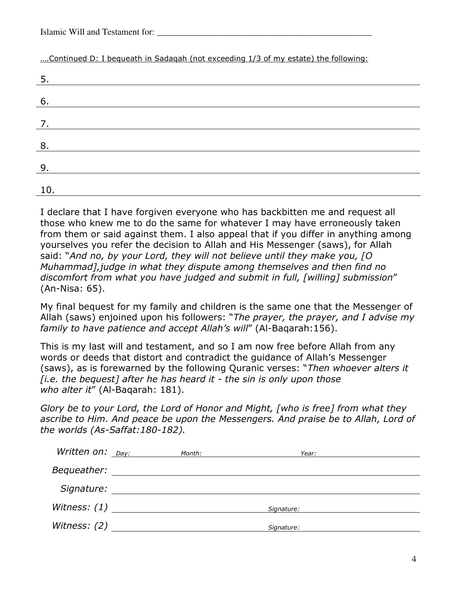| Islamic Will and Testament for: |  |
|---------------------------------|--|
|---------------------------------|--|

….Continued D: I bequeath in Sadaqah (not exceeding 1/3 of my estate) the following:

| 5.  |  |  |
|-----|--|--|
|     |  |  |
| 6.  |  |  |
| 7.  |  |  |
|     |  |  |
| 8.  |  |  |
| 9.  |  |  |
|     |  |  |
| 10. |  |  |

I declare that I have forgiven everyone who has backbitten me and request all those who knew me to do the same for whatever I may have erroneously taken from them or said against them. I also appeal that if you differ in anything among yourselves you refer the decision to Allah and His Messenger (saws), for Allah said: "And no, by your Lord, they will not believe until they make you, [O Muhammad],judge in what they dispute among themselves and then find no discomfort from what you have judged and submit in full, [willing] submission" (An-Nisa: 65).

My final bequest for my family and children is the same one that the Messenger of Allah (saws) enjoined upon his followers: "The prayer, the prayer, and I advise my family to have patience and accept Allah's will" (Al-Baqarah:156).

This is my last will and testament, and so I am now free before Allah from any words or deeds that distort and contradict the guidance of Allah's Messenger (saws), as is forewarned by the following Quranic verses: "Then whoever alters it  $[i.e.$  the bequest] after he has heard it - the sin is only upon those who alter it" (Al-Baqarah: 181).

Glory be to your Lord, the Lord of Honor and Might, [who is free] from what they ascribe to Him. And peace be upon the Messengers. And praise be to Allah, Lord of the worlds (As-Saffat:180-182).

| Written on: $_{Day:}$<br>Month: | Year:      |  |
|---------------------------------|------------|--|
|                                 |            |  |
|                                 |            |  |
| Witness: $(1)$                  | Signature: |  |
|                                 | Signature: |  |
|                                 |            |  |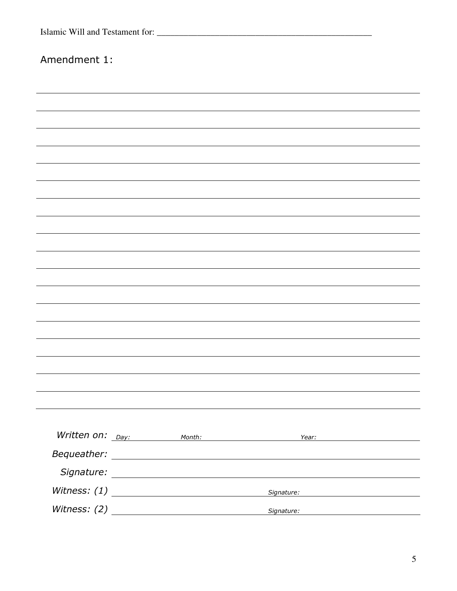| Amendment 1: |                                    |                                                      |  |
|--------------|------------------------------------|------------------------------------------------------|--|
|              |                                    |                                                      |  |
|              |                                    |                                                      |  |
|              |                                    |                                                      |  |
|              |                                    |                                                      |  |
|              |                                    |                                                      |  |
|              |                                    |                                                      |  |
|              |                                    |                                                      |  |
|              |                                    |                                                      |  |
|              |                                    |                                                      |  |
|              |                                    |                                                      |  |
|              |                                    |                                                      |  |
|              |                                    |                                                      |  |
|              |                                    |                                                      |  |
|              |                                    |                                                      |  |
|              |                                    |                                                      |  |
|              |                                    |                                                      |  |
|              |                                    |                                                      |  |
|              |                                    |                                                      |  |
|              |                                    |                                                      |  |
|              | Written on: <sub>Day:</sub> Month: |                                                      |  |
|              |                                    |                                                      |  |
|              |                                    |                                                      |  |
|              | Witness: $(1)$                     | Signature: National Communications of the Signature: |  |
|              | Witness: $(2)$                     | Signature: National Communication of the Signature:  |  |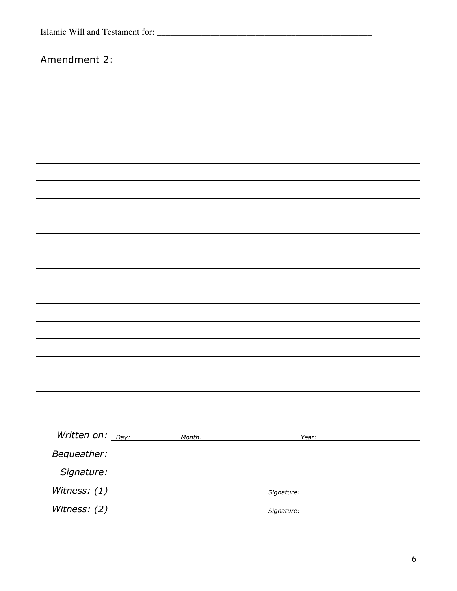| Amendment 2: |                                    |                                                                                                                                                                                                                                |  |
|--------------|------------------------------------|--------------------------------------------------------------------------------------------------------------------------------------------------------------------------------------------------------------------------------|--|
|              |                                    |                                                                                                                                                                                                                                |  |
|              |                                    |                                                                                                                                                                                                                                |  |
|              |                                    |                                                                                                                                                                                                                                |  |
|              |                                    |                                                                                                                                                                                                                                |  |
|              |                                    |                                                                                                                                                                                                                                |  |
|              |                                    |                                                                                                                                                                                                                                |  |
|              |                                    |                                                                                                                                                                                                                                |  |
|              |                                    |                                                                                                                                                                                                                                |  |
|              |                                    |                                                                                                                                                                                                                                |  |
|              |                                    |                                                                                                                                                                                                                                |  |
|              |                                    |                                                                                                                                                                                                                                |  |
|              |                                    |                                                                                                                                                                                                                                |  |
|              |                                    |                                                                                                                                                                                                                                |  |
|              |                                    |                                                                                                                                                                                                                                |  |
|              |                                    |                                                                                                                                                                                                                                |  |
|              |                                    |                                                                                                                                                                                                                                |  |
|              |                                    |                                                                                                                                                                                                                                |  |
|              |                                    |                                                                                                                                                                                                                                |  |
|              |                                    |                                                                                                                                                                                                                                |  |
|              | Written on: <sub>Day:</sub> Month: |                                                                                                                                                                                                                                |  |
|              |                                    |                                                                                                                                                                                                                                |  |
|              |                                    |                                                                                                                                                                                                                                |  |
|              | Witness: $(1)$                     | Signature: Management Contract Contract Contract Contract Contract Contract Contract Contract Contract Contract Contract Contract Contract Contract Contract Contract Contract Contract Contract Contract Contract Contract Co |  |
|              | Witness: $(2)$                     | Signature: National Communications of the Signature:                                                                                                                                                                           |  |